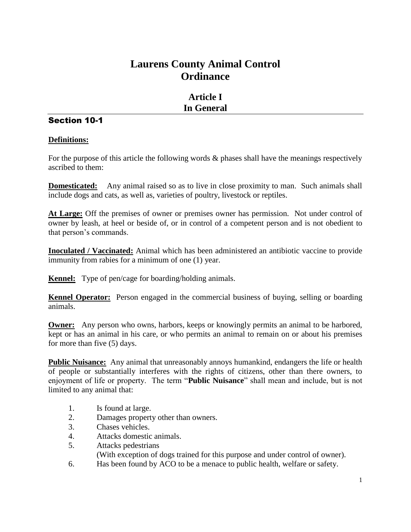# **Laurens County Animal Control Ordinance**

# **Article I In General**

# Section 10-1

## **Definitions:**

For the purpose of this article the following words  $\&$  phases shall have the meanings respectively ascribed to them:

**Domesticated:** Any animal raised so as to live in close proximity to man. Such animals shall include dogs and cats, as well as, varieties of poultry, livestock or reptiles.

**At Large:** Off the premises of owner or premises owner has permission. Not under control of owner by leash, at heel or beside of, or in control of a competent person and is not obedient to that person's commands.

**Inoculated / Vaccinated:** Animal which has been administered an antibiotic vaccine to provide immunity from rabies for a minimum of one (1) year.

**Kennel:** Type of pen/cage for boarding/holding animals.

**Kennel Operator:** Person engaged in the commercial business of buying, selling or boarding animals.

**Owner:** Any person who owns, harbors, keeps or knowingly permits an animal to be harbored, kept or has an animal in his care, or who permits an animal to remain on or about his premises for more than five (5) days.

**Public Nuisance:** Any animal that unreasonably annoys humankind, endangers the life or health of people or substantially interferes with the rights of citizens, other than there owners, to enjoyment of life or property. The term "**Public Nuisance**" shall mean and include, but is not limited to any animal that:

- 1. Is found at large.
- 2. Damages property other than owners.
- 3. Chases vehicles.
- 4. Attacks domestic animals.
- 5. Attacks pedestrians

(With exception of dogs trained for this purpose and under control of owner).

6. Has been found by ACO to be a menace to public health, welfare or safety.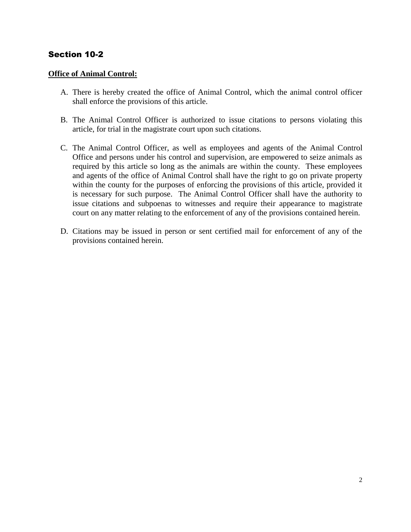#### **Office of Animal Control:**

- A. There is hereby created the office of Animal Control, which the animal control officer shall enforce the provisions of this article.
- B. The Animal Control Officer is authorized to issue citations to persons violating this article, for trial in the magistrate court upon such citations.
- C. The Animal Control Officer, as well as employees and agents of the Animal Control Office and persons under his control and supervision, are empowered to seize animals as required by this article so long as the animals are within the county. These employees and agents of the office of Animal Control shall have the right to go on private property within the county for the purposes of enforcing the provisions of this article, provided it is necessary for such purpose. The Animal Control Officer shall have the authority to issue citations and subpoenas to witnesses and require their appearance to magistrate court on any matter relating to the enforcement of any of the provisions contained herein.
- D. Citations may be issued in person or sent certified mail for enforcement of any of the provisions contained herein.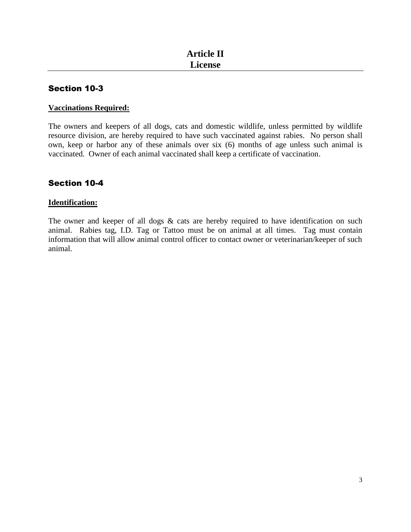## **Vaccinations Required:**

The owners and keepers of all dogs, cats and domestic wildlife, unless permitted by wildlife resource division, are hereby required to have such vaccinated against rabies. No person shall own, keep or harbor any of these animals over six (6) months of age unless such animal is vaccinated. Owner of each animal vaccinated shall keep a certificate of vaccination.

# Section 10-4

#### **Identification:**

The owner and keeper of all dogs  $\&$  cats are hereby required to have identification on such animal. Rabies tag, I.D. Tag or Tattoo must be on animal at all times. Tag must contain information that will allow animal control officer to contact owner or veterinarian/keeper of such animal.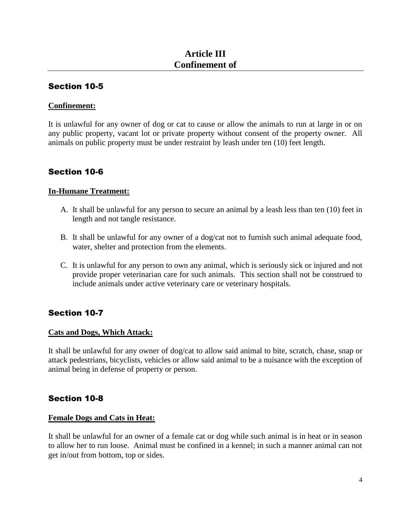#### **Confinement:**

It is unlawful for any owner of dog or cat to cause or allow the animals to run at large in or on any public property, vacant lot or private property without consent of the property owner. All animals on public property must be under restraint by leash under ten (10) feet length.

## Section 10-6

#### **In-Humane Treatment:**

- A. It shall be unlawful for any person to secure an animal by a leash less than ten (10) feet in length and not tangle resistance.
- B. It shall be unlawful for any owner of a dog/cat not to furnish such animal adequate food, water, shelter and protection from the elements.
- C. It is unlawful for any person to own any animal, which is seriously sick or injured and not provide proper veterinarian care for such animals. This section shall not be construed to include animals under active veterinary care or veterinary hospitals.

## Section 10-7

#### **Cats and Dogs, Which Attack:**

It shall be unlawful for any owner of dog/cat to allow said animal to bite, scratch, chase, snap or attack pedestrians, bicyclists, vehicles or allow said animal to be a nuisance with the exception of animal being in defense of property or person.

## Section 10-8

#### **Female Dogs and Cats in Heat:**

It shall be unlawful for an owner of a female cat or dog while such animal is in heat or in season to allow her to run loose. Animal must be confined in a kennel; in such a manner animal can not get in/out from bottom, top or sides.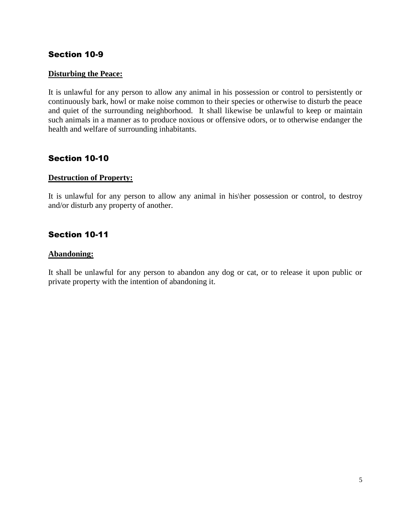#### **Disturbing the Peace:**

It is unlawful for any person to allow any animal in his possession or control to persistently or continuously bark, howl or make noise common to their species or otherwise to disturb the peace and quiet of the surrounding neighborhood. It shall likewise be unlawful to keep or maintain such animals in a manner as to produce noxious or offensive odors, or to otherwise endanger the health and welfare of surrounding inhabitants.

## Section 10-10

#### **Destruction of Property:**

It is unlawful for any person to allow any animal in his\her possession or control, to destroy and/or disturb any property of another.

## Section 10-11

#### **Abandoning:**

It shall be unlawful for any person to abandon any dog or cat, or to release it upon public or private property with the intention of abandoning it.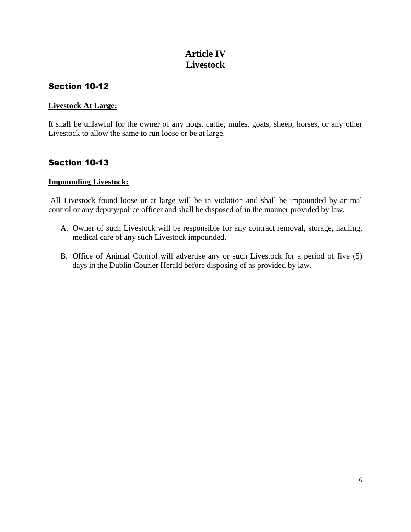#### **Livestock At Large:**

It shall be unlawful for the owner of any hogs, cattle, mules, goats, sheep, horses, or any other Livestock to allow the same to run loose or be at large.

# Section 10-13

#### **Impounding Livestock:**

All Livestock found loose or at large will be in violation and shall be impounded by animal control or any deputy/police officer and shall be disposed of in the manner provided by law.

- A. Owner of such Livestock will be responsible for any contract removal, storage, hauling, medical care of any such Livestock impounded.
- B. Office of Animal Control will advertise any or such Livestock for a period of five (5) days in the Dublin Courier Herald before disposing of as provided by law.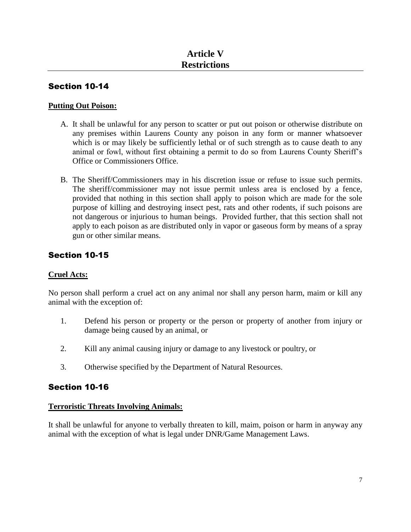#### **Putting Out Poison:**

- A. It shall be unlawful for any person to scatter or put out poison or otherwise distribute on any premises within Laurens County any poison in any form or manner whatsoever which is or may likely be sufficiently lethal or of such strength as to cause death to any animal or fowl, without first obtaining a permit to do so from Laurens County Sheriff's Office or Commissioners Office.
- B. The Sheriff/Commissioners may in his discretion issue or refuse to issue such permits. The sheriff/commissioner may not issue permit unless area is enclosed by a fence, provided that nothing in this section shall apply to poison which are made for the sole purpose of killing and destroying insect pest, rats and other rodents, if such poisons are not dangerous or injurious to human beings. Provided further, that this section shall not apply to each poison as are distributed only in vapor or gaseous form by means of a spray gun or other similar means.

# Section 10-15

#### **Cruel Acts:**

No person shall perform a cruel act on any animal nor shall any person harm, maim or kill any animal with the exception of:

- 1. Defend his person or property or the person or property of another from injury or damage being caused by an animal, or
- 2. Kill any animal causing injury or damage to any livestock or poultry, or
- 3. Otherwise specified by the Department of Natural Resources.

# Section 10-16

#### **Terroristic Threats Involving Animals:**

It shall be unlawful for anyone to verbally threaten to kill, maim, poison or harm in anyway any animal with the exception of what is legal under DNR/Game Management Laws.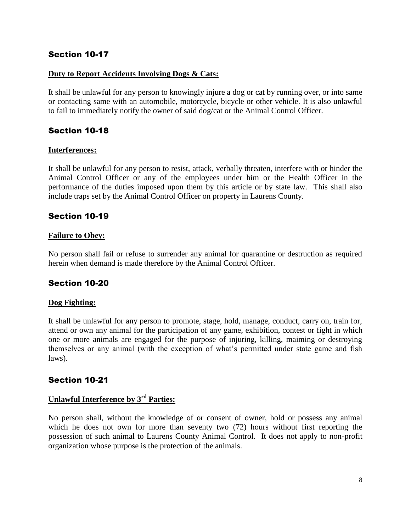#### **Duty to Report Accidents Involving Dogs & Cats:**

It shall be unlawful for any person to knowingly injure a dog or cat by running over, or into same or contacting same with an automobile, motorcycle, bicycle or other vehicle. It is also unlawful to fail to immediately notify the owner of said dog/cat or the Animal Control Officer.

# Section 10-18

#### **Interferences:**

It shall be unlawful for any person to resist, attack, verbally threaten, interfere with or hinder the Animal Control Officer or any of the employees under him or the Health Officer in the performance of the duties imposed upon them by this article or by state law. This shall also include traps set by the Animal Control Officer on property in Laurens County.

# Section 10-19

#### **Failure to Obey:**

No person shall fail or refuse to surrender any animal for quarantine or destruction as required herein when demand is made therefore by the Animal Control Officer.

# Section 10-20

#### **Dog Fighting:**

It shall be unlawful for any person to promote, stage, hold, manage, conduct, carry on, train for, attend or own any animal for the participation of any game, exhibition, contest or fight in which one or more animals are engaged for the purpose of injuring, killing, maiming or destroying themselves or any animal (with the exception of what's permitted under state game and fish laws).

## Section 10-21

# **Unlawful Interference by 3 rd Parties:**

No person shall, without the knowledge of or consent of owner, hold or possess any animal which he does not own for more than seventy two (72) hours without first reporting the possession of such animal to Laurens County Animal Control. It does not apply to non-profit organization whose purpose is the protection of the animals.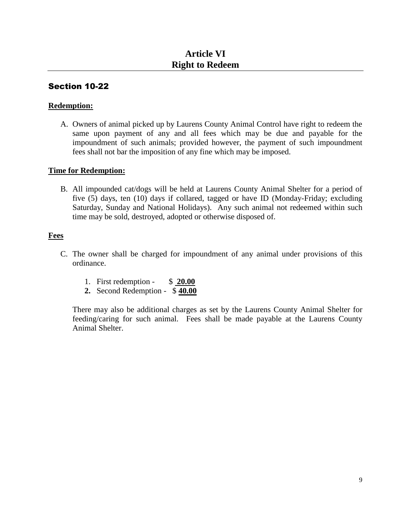#### **Redemption:**

A. Owners of animal picked up by Laurens County Animal Control have right to redeem the same upon payment of any and all fees which may be due and payable for the impoundment of such animals; provided however, the payment of such impoundment fees shall not bar the imposition of any fine which may be imposed.

#### **Time for Redemption:**

B. All impounded cat/dogs will be held at Laurens County Animal Shelter for a period of five (5) days, ten (10) days if collared, tagged or have ID (Monday-Friday; excluding Saturday, Sunday and National Holidays). Any such animal not redeemed within such time may be sold, destroyed, adopted or otherwise disposed of.

#### **Fees**

- C. The owner shall be charged for impoundment of any animal under provisions of this ordinance.
	- 1. First redemption \$ **20.00**
	- **2.** Second Redemption \$ **40.00**

There may also be additional charges as set by the Laurens County Animal Shelter for feeding/caring for such animal. Fees shall be made payable at the Laurens County Animal Shelter.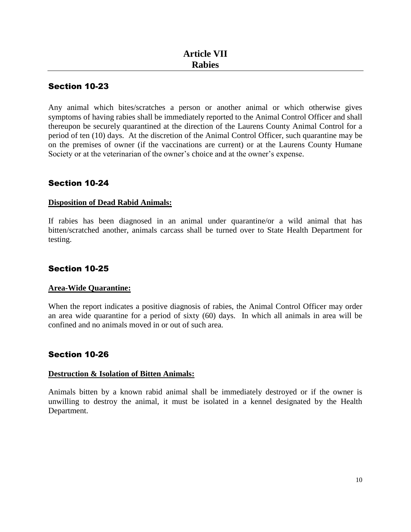Any animal which bites/scratches a person or another animal or which otherwise gives symptoms of having rabies shall be immediately reported to the Animal Control Officer and shall thereupon be securely quarantined at the direction of the Laurens County Animal Control for a period of ten (10) days. At the discretion of the Animal Control Officer, such quarantine may be on the premises of owner (if the vaccinations are current) or at the Laurens County Humane Society or at the veterinarian of the owner's choice and at the owner's expense.

# Section 10-24

#### **Disposition of Dead Rabid Animals:**

If rabies has been diagnosed in an animal under quarantine/or a wild animal that has bitten/scratched another, animals carcass shall be turned over to State Health Department for testing.

# Section 10-25

#### **Area-Wide Quarantine:**

When the report indicates a positive diagnosis of rabies, the Animal Control Officer may order an area wide quarantine for a period of sixty (60) days. In which all animals in area will be confined and no animals moved in or out of such area.

# Section 10-26

#### **Destruction & Isolation of Bitten Animals:**

Animals bitten by a known rabid animal shall be immediately destroyed or if the owner is unwilling to destroy the animal, it must be isolated in a kennel designated by the Health Department.